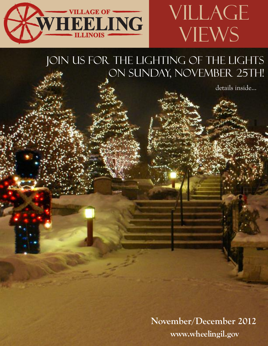

# JOIN US FOR THE LIGHTING OF THE LIGHTS ON SUNDAY, NOVEMBER 25TH!

details inside...

VILLAGE

**VIEWS** 

**November/December 2012 www.wheelingil.gov**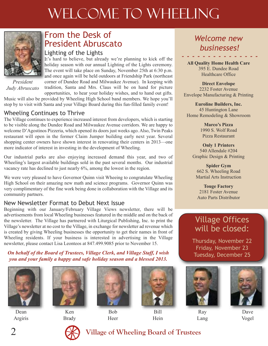# WELCOME TO WHEELING



*President Judy Abruscato*

## From the Desk of President Abruscato

### Lighting of the Lights

It's hard to believe, but already we're planning to kick off the holiday season with our annual Lighting of the Lights ceremony. The event will take place on Sunday, November 25th at 6:30 p.m. and once again will be held outdoors at Friendship Park (northeast corner of Dundee Road and Milwaukee Avenue). In keeping with tradition, Santa and Mrs. Claus will be on hand for picture opportunities, to hear your holiday wishes, and to hand out gifts.

Music will also be provided by Wheeling High School band members. We hope you'll stop by to visit with Santa and your Village Board during this fun-filled family event!

### Wheeling Continues to Thrive

The Village continues to experience increased interest from developers, which is starting to be visible along the Dundee Road and Milwaukee Avenue corridors. We are happy to welcome D'Agostinos Pizzeria, which opened its doors just weeks ago. Also, Twin Peaks restaurant will open in the former Claim Jumper building early next year. Several shopping center owners have shown interest in renovating their centers in 2013—one more indicator of interest in investing in the development of Wheeling.

Our industrial parks are also enjoying increased demand this year, and two of Wheeling's largest available buildings sold in the past several months. Our industrial vacancy rate has declined to just nearly 6%, among the lowest in the region.

We were very pleased to have Governor Quinn visit Wheeing to congratulate Wheeling High School on their amazing new math and science programs. Governor Quinn was very complimentary of the fine work being done in collaboration with the Village and its community partners.

### New Newsletter Format to Debut Next Issue

Beginning with our January/February Village Views newsletter, there will be advertisements from local Wheeling businesses featured in the middle and on the back of the newsletter. The Village has partnered with Liturgical Publishing, Inc. to print the Village's newsletter at no cost to the Village, in exchange for newsletter ad revenue which is created by giving Wheeling businesses the opportunity to get their names in front of Wheeling residents. If your business is interested in advertising in the Village newsletter, please contact Lisa Leonteos at 847.499.9085 prior to November 15.

### *On behalf of the Board of Trustees, Village Clerk, and Village Staff, I wish you and your family a happy and safe holiday season and a blessed 2013.*



Dean Argiris



Ken Brady



Bob Heer



Bill Hein

### *Welcome new businesses!*

#### *- - - - - - - - - - - - - - -* **All Quality Home Health Care** 395 E. Dundee Road Healthcare Office

**Direct Envelope** 2232 Foster Avenue Envelope Manufacturing & Printing

**Euroline Builders, Inc.** 45 Huntington Lane Home Remodeling & Showroom

> **Marco's Pizza** 1990 S. Wolf Road Pizza Restaurant

**Only 1 Printers** 540 Allendale #204 Graphic Design & Printing

**Spider Gym** 662 S. Wheeling Road Martial Arts Instruction

**Touge Factory** 2181 Foster Avenue Auto Parts Distributor

## Village Offices will be closed:

Thursday, November 22 Friday, November 23 Tuesday, December 25



Lang



Dave Vogel



### 2 **Village of Wheeling Board of Trustees**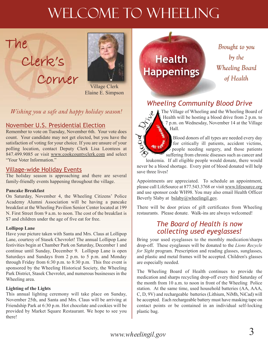# WELCOME TO WHEELING

# Clerk's Corner

The



Village Clerk Elaine E. Simpson

*Wishing you a safe and happy holiday season!*

### November U.S. Presidential Election

Remember to vote on Tuesday, November 6th. Your vote does count. Your candidate may not get elected, but you have the satisfaction of voting for your choice. If you are unsure of your polling location, contact Deputy Clerk Lisa Leonteos at 847.499.9085 or visit www.cookcountyclerk.com and select "Your Voter Information."

### Village-wide Holiday Events

The holiday season is approaching and there are several family-friendly events happening throughout the village.

#### **Pancake Breakfast**

On Saturday, November 4, the Wheeling Citizens' Police Academy Alumni Association will be having a pancake breakfast at the Wheeling Pavilion Senior Center located at 199 N. First Street from 9 a.m. to noon. The cost of the breakfast is \$7 and children under the age of five eat for free.

#### **Lollipop Lane**

Have your picture taken with Santa and Mrs. Claus at Lollipop Lane, courtesy of Stasek Chevrolet! The annual Lollipop Lane festivities begin at Chamber Park on Saturday, December 1 and continue until Sunday, December 9. Lollipop Lane is open Saturdays and Sundays from 2 p.m. to 5 p.m. and Monday through Friday from 6:30 p.m. to 8:30 p.m. This free event is sponsored by the Wheeling Historical Society, the Wheeling Park District, Stasek Chevrolet, and numerous businesses in the Wheeling area.

#### **Lighting of the Lights**

This annual lighting ceremony will take place on Sunday, November 25th, and Santa and Mrs. Claus will be arriving at Friendship Park at 6:30 p.m. Hot chocolate and cookies will be provided by Market Square Restaurant. We hope to see you there!

**Health Happenings**

*Brought to you Brought to you by the by the Wheeling Board Wheeling Board of Health of Health*

### *Wheeling Community Blood Drive*



The Village of Wheeling and the Wheeling Board of Health will be hosting a blood drive from 2 p.m. to 7 p.m. on Wednesday, November 14 at the Village Hall.

Blood donors of all types are needed every day for critically ill patients, accident victims, people needing surgery, and those patients suffering from chronic diseases such as cancer and

leukemia. If all eligible people would donate, there would never be a blood shortage. Every pint of blood donated will help save three lives!

Appointments are appreciated. To schedule an appointment, please call LifeSource at 877.543.3768 or visit www.lifesource.org and use sponsor code WH98. You may also email Health Officer Beverly Slaby at bslaby@wheelingil.gov.

There will be door prizes of gift certificates from Wheeling restaurants. Please donate. Walk-ins are always welcomed!

### *The Board of Health is now collecting used eyeglasses!*

Bring your used eyeglasses to the monthly medication/sharps drop-off. These eyeglasses will be donated to the *Lions Recycle for Sight* program. Prescription and reading glasses, sunglasses, and plastic and metal frames will be accepted. Children's glasses are especially needed.

The Wheeling Board of Health continues to provide the medication and sharps recycling drop-off every third Saturday of the month from 10 a.m. to noon in front of the Wheeling Police station. At the same time, used household batteries (AA, AAA, C, D, 9V) and rechargeable batteries (Lithium, NiMh, NiCad) will be accepted. Each rechargeable battery must have masking tape on contact points or be contained in an individual self-locking plastic bag.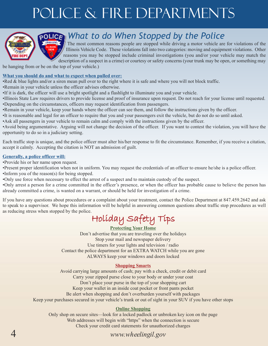# Police & Fire Departments



# *What to do When Stopped by the Police*

The most common reasons people are stopped while driving a motor vehicle are for violations of the Illinois Vehicle Code. These violations fall into two categories: moving and equipment violations. Other reasons you may be stopped include criminal investigations (you and/or your vehicle may match the description of a suspect in a crime) or courtesy or safety concerns (your trunk may be open, or something may

be hanging from or be on the top of your vehicle.)

#### **What you should do and what to expect when pulled over:**

- •Red & blue lights and/or a siren mean pull over to the right where it is safe and where you will not block traffic.
- •Remain in your vehicle unless the officer advises otherwise.
- •If it is dark, the officer will use a bright spotlight and a flashlight to illuminate you and your vehicle.
- •Illinois State Law requires drivers to provide license and proof of insurance upon request. Do not reach for your license until requested. •Depending on the circumstances, officers may request identification from passengers.
- •Remain in your vehicle, keep your hands where the officer can see them, and follow the instructions given by the officer.
- •It is reasonable and legal for an officer to require that you and your passengers exit the vehicle, but do not do so until asked.
- •Ask all passengers in your vehicle to remain calm and comply with the instructions given by the officer.

•Avoid being argumentative. Arguing will not change the decision of the officer. If you want to contest the violation, you will have the opportunity to do so in a judiciary setting.

Each traffic stop is unique, and the police officer must alter his/her response to fit the circumstance. Remember, if you receive a citation, accept it calmly. Accepting the citation is NOT an admission of guilt.

#### **Generally, a police officer will:**

•Provide his or her name upon request.

•Present proper identification when not in uniform. You may request the credentials of an officer to ensure he/she is a police officer.

- •Inform you of the reason(s) for being stopped.
- •Only use force when necessary to effect the arrest of a suspect and to maintain custody of the suspect.

•Only arrest a person for a crime committed in the officer's presence, or when the officer has probable cause to believe the person has already committed a crime, is wanted on a warrant, or should be held for investigation of a crime.

If you have any questions about procedures or a complaint about your treatment, contact the Police Department at 847.459.2642 and ask to speak to a supervisor. We hope this information will be helpful in answering common questions about traffic stop procedures as well as reducing stress when stopped by the police.

Holiday Safety Tips

### **Protecting Your Home**

Don't advertise that you are traveling over the holidays Stop your mail and newspaper delivery Use timers for your lights and television / radio Contact the police department for an EXTRA WATCH while you are gone ALWAYS keep your windows and doors locked

#### **Shopping Smarts**

Avoid carrying large amounts of cash; pay with a check, credit or debit card Carry your zipped purse close to your body or under your coat Don't place your purse in the top of your shopping cart Keep your wallet in an inside coat pocket or front pants pocket Be alert when shopping and don't overburden yourself with packages Keep your purchases secured in your vehicle's trunk or out of sight in your SUV if you have other stops

#### **Online Shopping**

Only shop on secure sites—look for a locked padlock or unbroken key icon on the page Web addresses will begin with "https" when the connection is secure Check your credit card statements for unauthorized charges

### 4 *www.wheelingil.gov*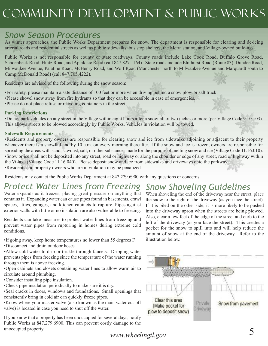# Community Development & Public Works

# *Snow Season Procedures*

As winter approaches, the Public Works Department prepares for snow. The department is responsible for clearing and de-icing arterial roads and residential streets as well as public sidewalks, bus stop shelters, the Metra station, and Village-owned buildings.

Public Works is not responsible for county or state roadways. County roads include Lake Cook Road, Buffalo Grove Road, Schoenbeck Road, Hintz Road, and Aptakisic Road (call 847.827.1164). State roads include Elmhurst Road (Route 83), Dundee Road, Milwaukee Avenue, Palatine Road, McHenry Road, and Wolf Road (Manchester north to Milwaukee Avenue and Marquardt south to Camp McDonald Road) (call 847.705.4222).

Residents are advised of the following during the snow season:

•For safety, please maintain a safe distance of 100 feet or more when driving behind a snow plow or salt truck. •Please shovel snow away from fire hydrants so that they can be accessible in case of emergencies. •Please do not place refuse or recycling containers in the street.

#### **Parking Restrictions**

•Do not park vehicles on any street in the Village within eight hours after a snowfall of two inches or more (per Village Code 9.10.103). This allows streets to be plowed accordingly by Public Works. Vehicles in violation will be towed.

#### **Sidewalk Requirements**

•Residents and property owners are responsible for clearing snow and ice from sidewalks adjoining or adjacent to their property whenever there is a snowfall and by 10 a.m. on every morning thereafter. If the snow and ice is frozen, owners are responsible for spreading the areas with sand, sawdust, salt, or other substances made for the purpose of melting snow and ice (Village Code 11.16.010). •Snow or ice shall not be deposited into any street, road or highway or along the shoulder or edge of any street, road or highway within the Village (Village Code 11.16.040). Please deposit snow and ice from sidewalks and driveways onto the parkway. •Residents and property owners who are in violation may be penalized.

Residents may contact the Public Works Department at 847.279.6900 with any questions or concerns.

# *Protect Water Lines from Freezing*

Water expands as it freezes, placing great pressure on anything that contains it. Expanding water can cause pipes found in basements, crawl spaces, attics, garages, and kitchen cabinets to rupture. Pipes against exterior walls with little or no insulation are also vulnerable to freezing.

Residents can take measures to protect water lines from freezing and prevent water pipes from rupturing in homes during extreme cold conditions.

- •If going away, keep home temperatures no lower than 55 degrees F.
- •Disconnect and drain outdoor hoses.
- •Allow cold water to drip or trickle through faucets. Dripping water prevents pipes from freezing since the temperature of the water running through them is above freezing.
- •Open cabinets and closets containing water lines to allow warm air to circulate around plumbing.
- •Consider installing pipe insulation.
- •Check pipe insulation periodically to make sure it is dry.
- •Seal cracks in doors, windows and foundations. Small openings that consistently bring in cold air can quickly freeze pipes.

•Know where your master valve (also known as the main water cut-off valve) is located in case you need to shut off the water.

If you know that a property has been unoccupied for several days, notify Public Works at 847.279.6900. This can prevent costly damage to the unoccupied property.

*Snow Shoveling Guidelines* When shoveling the end of the driveway near the street, place the snow to the right of the driveway (as you face the street). If it is piled on the other side, it is more likely to be pushed into the driveway apron when the streets are being plowed. Also, clear a few feet of the edge of the street and curb to the left of the driveway (as you face the street). This creates a pocket for the snow to spill into and will help reduce the amount of snow at the end of the driveway. Refer to the illustration below.



*www.wheelingil.gov* 5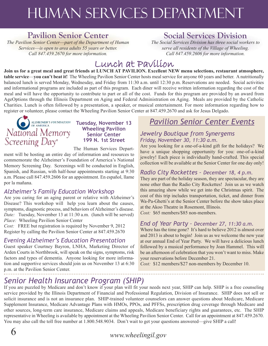# Human Services department

### **Pavilion Senior Center**

*The Pavilion Senior Center*—*part of the Department of Human Services*—*is open to area adults 55 years or better. Call 847.459.2670 for more information.*

## **Social Services Division**

*The Social Services Division has three social workers to serve all residents of the Village of Wheeling. Call 847.459.2606 for more information.*

# Lunch at Pavilion

Join us for a great meal and great friends at LUNCH AT PAVILION. Excellent NEW menu selections, restaurant atmosphere, **table service**—**you can't beat it!** The Wheeling Pavilion Senior Center hosts meal service for anyone 60 years and better. A nutritionally balanced lunch is served Monday, Wednesday, and Friday from 11:30 a.m. until 12:30 p.m. Reservations are needed. Social activities and informational programs are included as part of this program. Each diner will receive written information regarding the cost of the meal and will have the opportunity to contribute to part or all of the cost. Funds for this program are provided by an award from AgeOptions through the Illinois Department on Aging and Federal Administration on Aging. Meals are provided by the Catholic Charities. Lunch is often followed by a presentation, a speaker, or musical entertainment. For more information regarding how to register or volunteer, please contact the Wheeling Pavilion Senior Center at 847.459.2670 and ask for Jesus Delgado.



#### **Tuesday, November 13 Wheeling Pavilion Senior Center 199 N. 1st Street**

The Human Services Depart-

ment will be hosting an entire day of information and resources to commemorate the Alzheimer's Foundation of America's National Memory Screening Day. Screenings will be conducted in English, Spanish, and Russian, with half-hour appointments starting at 9:30 a.m. Please call 847.459.2606 for an appointment. En español, llame por la mañana.

### *Alzheimer's Family Education Workshop*

Are you caring for an aging parent or relative with Alzheimer's Disease? This workshop will help you learn about the causes, symptoms, diagnostic process, and behaviors of Alzheimer's disease. *Date:* Tuesday, November 13 at 11:30 a.m. (lunch will be served) *Place:* Wheeling Pavilion Senior Center

*Cost:* FREE but registration is required by November 9, 2012 Register by calling the Pavilion Senior Center at 847.459.2670

### *Evening Alzheimer's Education Presentation*

Guest speaker Courtney Bayron, LNHA, Marketing Director of Arden Courts in Northbrook, will speak on the signs, symptoms, risk factors and types of dementia. Anyone looking for more information and supportive services should join us on November 13 at 6:30 p.m. at the Pavilion Senior Center.

## *Pavilion Senior Center Events*

#### *Jewelry Boutique from Synergems Friday, November 30, 11:30 a.m.*

Are you looking for a one-of-a-kind gift for the holidays? We have a unique shopping opportunity for you: one-of-a-kind jewelry! Each piece is individually hand-crafted. This special collection will be available at the Senior Center for one day only!

### *Radio City Rockettes – December 18, 4 p.m.*

They are part of the holiday season, they are spectacular, they are none other than the Radio City Rockettes! Join us as we watch this amazing show while we get into the Christmas spirit. The cost of this trip includes transportation, ticket, and dinner from Wa-Pa-Ghetti's at the Senior Center before the show takes place at the Akoo Theatre in Rosemont, Illinois.

*Cost:* \$65 members/\$85 non-members.

### *End of Year Party – December 27, 11:30 a.m.*

Where has the time gone? It's hard to believe 2012 is almost over and 2013 is about to begin! Join us as we welcome the new year at our annual End of Year Party. We will have a delicious lunch followed by a musical performance by Joan Hammel. This will be an afternoon of celebration that you won't want to miss. Make your reservations before December 21.

*Cost:* \$12 members/\$27 non-members by December 10.

## *Senior Health Insurance Program (SHIP)*

If you are puzzled by Medicare and don't know if your plan will fit your needs next year, SHIP can help. SHIP is a free counseling service provided by the Illinois Department of Financial and Professional Regulation, Division of Insurance. SHIP does not sell or solicit insurance and is not an insurance plan. SHIP-trained volunteer counselors can answer questions about Medicare, Medicare Supplement Insurance, Medicare Advantage Plans with HMOs, PPOs, and PFFSs, prescription drug coverage through Medicare and other sources, long-term care insurance, Medicare claims and appeals, Medicare beneficiary rights and guarantees, etc. The SHIP representative in Wheeling is available by appointment at the Wheeling Pavilion Senior Center. Call for an appointment at 847.459.2670. You may also call the toll free number at 1.800.548.9034. Don't wait to get your questions answered—give SHIP a call!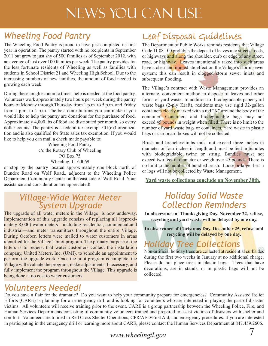# News You Can Use

# *Wheeling Food Pantry*

The Wheeling Food Pantry is proud to have just completed its first year in operation. The pantry started with no recipients in September 2011 but grew to just shy of 500 families as of September 2012, with an average of just over 100 families per week. The pantry provides for the less fortunate residents of Wheeling as well as families with students in School District 21 and Wheeling High School. Due to the increasing numbers of new families, the amount of food needed is growing each week.

During these tough economic times, help is needed at the food pantry. Volunteers work approximately two hours per week during the pantry hours of Monday through Thursday from 1 p.m. to 5 p.m. and Friday from 1 p.m. to 4 p.m. The best contributions you can make if you would like to help the pantry are donations for the purchase of food. Approximately 4,000 lbs of food are distributed per month, so every dollar counts. The pantry is a federal tax-exempt 501(c)3 organization and is also qualified for State sales tax exemption. If you would like to help you can mail a check made payable to:

> Wheeling Food Pantry c/o the Rotary Club of Wheeling PO Box 75 Wheeling, IL 60069

or stop by the pantry located approximately one block north of Dundee Road on Wolf Road., adjacent to the Wheeling Police Department Community Center on the east side of Wolf Road. Your assistance and consideration are appreciated!

### *Village-Wide Water Meter System Upgrade*

The upgrade of all water meters in the Village is now underway. Implementation of this upgrade consists of replacing all (approximately 8,000) water meters—including residential, commercial and industrial—and meter transmitters throughout the entire Village. During October, letters were mailed to water customers in areas identified for the Village's pilot program. The primary purpose of the letters is to request that water customers contact the installation company, United Meters, Inc. (UMI), to schedule an appointment to perform the upgrade work. Once the pilot program is complete, the Village will evaluate the program, make adjustments if necessary, and fully implement the program throughout the Village. This upgrade is being done at no cost to water customers.

# Leaf Disposal Guidelines

The Department of Public Works reminds residents that Village Code 11.08.100 prohibits the deposit of leaves into streets, roads, or highways and along the shoulder, curb or edge of any street, road, or highway. Leaves intentionally raked into such areas have a clear and immediate effect on the Village's storm sewer system; this can result in clogged storm sewer inlets and subsequent flooding.

The Village's contract with Waste Management provides an alternate, convenient method to dispose of leaves and other forms of yard waste. In addition to biodegradable paper yard waste bags (2-ply Kraft), residents may use rigid 32-gallon containers clearly marked with a red "X" around the body of the container. Containers and biodegradable bags may not exceed 45 pounds in weight when filled. There is no limit to the number of yard waste bags or containers. Yard waste in plastic bags or cardboard boxes will not be collected.

Brush and branches/limbs must not exceed three inches in diameter or four inches in length and must be tied in bundles with biodegradable twine or string. Bundles must not exceed two feet in diameter or weigh over 45 pounds. There is no limit to the number of bundled brush. Loose or larger brush or logs will not be collected by Waste Management.

**Yard waste collections conclude on November 30th.**

## *Holiday Solid Waste Collection Reminders*

**In observance of Thanksgiving Day, November 22, refuse, recycling and yard waste will be delayed by one day.**

**In observance of Christmas Day, December 25, refuse and recycling will be delayed by one day.**

## *Holiday Tree Collections*

Non-artificial holiday trees are collected at residential curbsides during the first two weeks in January at no additional charge. Please do not place trees in plastic bags. Trees that have decorations, are in stands, or in plastic bags will not be collected.

### *Volunteers Needed!*

Do you have a flair for the dramatic? Do you want to help your community prepare for emergencies? Community Assisted Relief Efforts (CARE) is planning for an emergency drill and is looking for volunteers who are interested in playing the part of disaster victims. All volunteers will receive training prior to the event. CARE is a group partnership between the Wheeling Police, Fire, and Human Services Departments consisting of community volunteers trained and prepared to assist victims of disasters with shelter and comfort. Volunteers are trained in Red Cross Shelter Operations, CPR/AED/First Aid, and emergency procedures. If you are interested in participating in the emergency drill or learning more about CARE, please contact the Human Services Department at 847.459.2606.